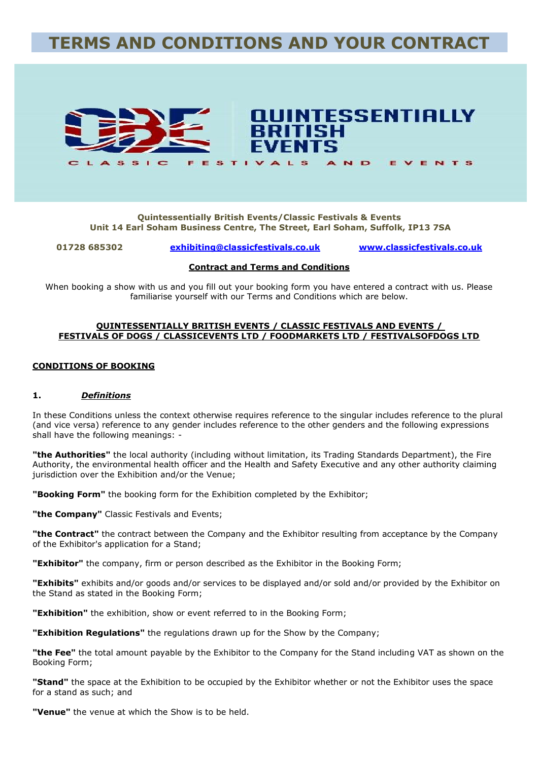# **TERMS AND CONDITIONS AND YOUR CONTRACT**



#### **Quintessentially British Events/Classic Festivals & Events Unit 14 Earl Soham Business Centre, The Street, Earl Soham, Suffolk, IP13 7SA**

**01728 685302 [exhibiting@classicfestivals.co.uk](mailto:exhibiting@classicfestivals.co.uk) [www.classicfestivals.co.uk](http://www.classicfestivals.co.uk/)**

#### **Contract and Terms and Conditions**

When booking a show with us and you fill out your booking form you have entered a contract with us. Please familiarise yourself with our Terms and Conditions which are below.

#### **QUINTESSENTIALLY BRITISH EVENTS / CLASSIC FESTIVALS AND EVENTS / FESTIVALS OF DOGS / CLASSICEVENTS LTD / FOODMARKETS LTD / FESTIVALSOFDOGS LTD**

#### **CONDITIONS OF BOOKING**

#### **1.** *Definitions*

In these Conditions unless the context otherwise requires reference to the singular includes reference to the plural (and vice versa) reference to any gender includes reference to the other genders and the following expressions shall have the following meanings: -

**"the Authorities"** the local authority (including without limitation, its Trading Standards Department), the Fire Authority, the environmental health officer and the Health and Safety Executive and any other authority claiming jurisdiction over the Exhibition and/or the Venue;

**"Booking Form"** the booking form for the Exhibition completed by the Exhibitor;

**"the Company"** Classic Festivals and Events;

**"the Contract"** the contract between the Company and the Exhibitor resulting from acceptance by the Company of the Exhibitor's application for a Stand;

**"Exhibitor"** the company, firm or person described as the Exhibitor in the Booking Form;

**"Exhibits"** exhibits and/or goods and/or services to be displayed and/or sold and/or provided by the Exhibitor on the Stand as stated in the Booking Form;

**"Exhibition"** the exhibition, show or event referred to in the Booking Form;

**"Exhibition Regulations"** the regulations drawn up for the Show by the Company;

**"the Fee"** the total amount payable by the Exhibitor to the Company for the Stand including VAT as shown on the Booking Form;

**"Stand"** the space at the Exhibition to be occupied by the Exhibitor whether or not the Exhibitor uses the space for a stand as such; and

**"Venue"** the venue at which the Show is to be held.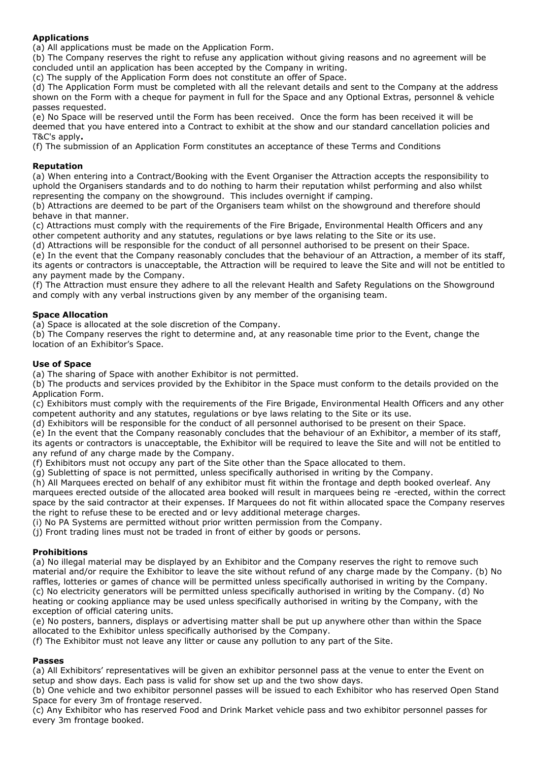# **Applications**

(a) All applications must be made on the Application Form.

(b) The Company reserves the right to refuse any application without giving reasons and no agreement will be concluded until an application has been accepted by the Company in writing.

(c) The supply of the Application Form does not constitute an offer of Space.

(d) The Application Form must be completed with all the relevant details and sent to the Company at the address shown on the Form with a cheque for payment in full for the Space and any Optional Extras, personnel & vehicle passes requested.

(e) No Space will be reserved until the Form has been received. Once the form has been received it will be deemed that you have entered into a Contract to exhibit at the show and our standard cancellation policies and T&C's apply**.**

(f) The submission of an Application Form constitutes an acceptance of these Terms and Conditions

#### **Reputation**

(a) When entering into a Contract/Booking with the Event Organiser the Attraction accepts the responsibility to uphold the Organisers standards and to do nothing to harm their reputation whilst performing and also whilst representing the company on the showground. This includes overnight if camping.

(b) Attractions are deemed to be part of the Organisers team whilst on the showground and therefore should behave in that manner.

(c) Attractions must comply with the requirements of the Fire Brigade, Environmental Health Officers and any other competent authority and any statutes, regulations or bye laws relating to the Site or its use.

(d) Attractions will be responsible for the conduct of all personnel authorised to be present on their Space.

(e) In the event that the Company reasonably concludes that the behaviour of an Attraction, a member of its staff, its agents or contractors is unacceptable, the Attraction will be required to leave the Site and will not be entitled to any payment made by the Company.

(f) The Attraction must ensure they adhere to all the relevant Health and Safety Regulations on the Showground and comply with any verbal instructions given by any member of the organising team.

# **Space Allocation**

(a) Space is allocated at the sole discretion of the Company.

(b) The Company reserves the right to determine and, at any reasonable time prior to the Event, change the location of an Exhibitor's Space.

#### **Use of Space**

(a) The sharing of Space with another Exhibitor is not permitted.

(b) The products and services provided by the Exhibitor in the Space must conform to the details provided on the Application Form.

(c) Exhibitors must comply with the requirements of the Fire Brigade, Environmental Health Officers and any other competent authority and any statutes, regulations or bye laws relating to the Site or its use.

(d) Exhibitors will be responsible for the conduct of all personnel authorised to be present on their Space.

(e) In the event that the Company reasonably concludes that the behaviour of an Exhibitor, a member of its staff, its agents or contractors is unacceptable, the Exhibitor will be required to leave the Site and will not be entitled to any refund of any charge made by the Company.

(f) Exhibitors must not occupy any part of the Site other than the Space allocated to them.

(g) Subletting of space is not permitted, unless specifically authorised in writing by the Company.

(h) All Marquees erected on behalf of any exhibitor must fit within the frontage and depth booked overleaf. Any marquees erected outside of the allocated area booked will result in marquees being re -erected, within the correct space by the said contractor at their expenses. If Marquees do not fit within allocated space the Company reserves the right to refuse these to be erected and or levy additional meterage charges.

(i) No PA Systems are permitted without prior written permission from the Company.

(j) Front trading lines must not be traded in front of either by goods or persons.

# **Prohibitions**

(a) No illegal material may be displayed by an Exhibitor and the Company reserves the right to remove such material and/or require the Exhibitor to leave the site without refund of any charge made by the Company. (b) No raffles, lotteries or games of chance will be permitted unless specifically authorised in writing by the Company. (c) No electricity generators will be permitted unless specifically authorised in writing by the Company. (d) No heating or cooking appliance may be used unless specifically authorised in writing by the Company, with the exception of official catering units.

(e) No posters, banners, displays or advertising matter shall be put up anywhere other than within the Space allocated to the Exhibitor unless specifically authorised by the Company.

(f) The Exhibitor must not leave any litter or cause any pollution to any part of the Site.

# **Passes**

(a) All Exhibitors' representatives will be given an exhibitor personnel pass at the venue to enter the Event on setup and show days. Each pass is valid for show set up and the two show days.

(b) One vehicle and two exhibitor personnel passes will be issued to each Exhibitor who has reserved Open Stand Space for every 3m of frontage reserved.

(c) Any Exhibitor who has reserved Food and Drink Market vehicle pass and two exhibitor personnel passes for every 3m frontage booked.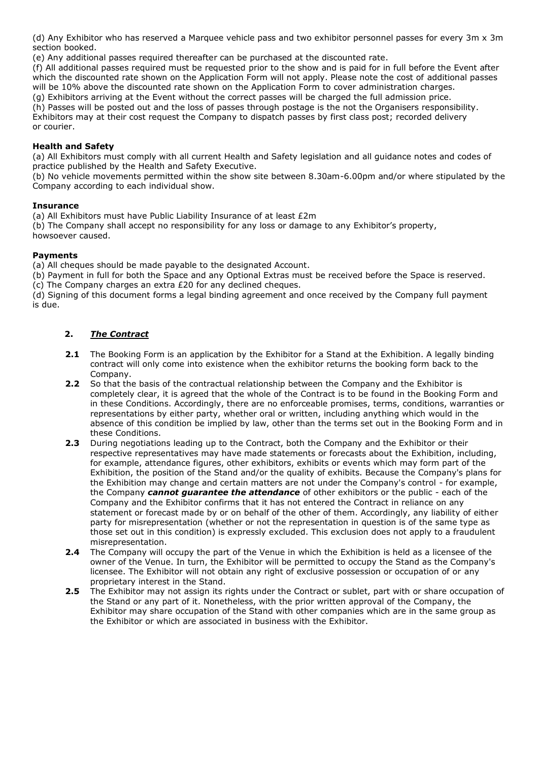(d) Any Exhibitor who has reserved a Marquee vehicle pass and two exhibitor personnel passes for every 3m x 3m section booked.

(e) Any additional passes required thereafter can be purchased at the discounted rate.

(f) All additional passes required must be requested prior to the show and is paid for in full before the Event after which the discounted rate shown on the Application Form will not apply. Please note the cost of additional passes will be 10% above the discounted rate shown on the Application Form to cover administration charges.

(g) Exhibitors arriving at the Event without the correct passes will be charged the full admission price.

(h) Passes will be posted out and the loss of passes through postage is the not the Organisers responsibility. Exhibitors may at their cost request the Company to dispatch passes by first class post; recorded delivery or courier.

#### **Health and Safety**

(a) All Exhibitors must comply with all current Health and Safety legislation and all guidance notes and codes of practice published by the Health and Safety Executive.

(b) No vehicle movements permitted within the show site between 8.30am-6.00pm and/or where stipulated by the Company according to each individual show.

#### **Insurance**

(a) All Exhibitors must have Public Liability Insurance of at least  $E2m$ 

(b) The Company shall accept no responsibility for any loss or damage to any Exhibitor's property, howsoever caused.

#### **Payments**

(a) All cheques should be made payable to the designated Account.

(b) Payment in full for both the Space and any Optional Extras must be received before the Space is reserved.

(c) The Company charges an extra £20 for any declined cheques.

(d) Signing of this document forms a legal binding agreement and once received by the Company full payment is due.

# **2.** *The Contract*

- **2.1** The Booking Form is an application by the Exhibitor for a Stand at the Exhibition. A legally binding contract will only come into existence when the exhibitor returns the booking form back to the Company.
- **2.2** So that the basis of the contractual relationship between the Company and the Exhibitor is completely clear, it is agreed that the whole of the Contract is to be found in the Booking Form and in these Conditions. Accordingly, there are no enforceable promises, terms, conditions, warranties or representations by either party, whether oral or written, including anything which would in the absence of this condition be implied by law, other than the terms set out in the Booking Form and in these Conditions.
- **2.3** During negotiations leading up to the Contract, both the Company and the Exhibitor or their respective representatives may have made statements or forecasts about the Exhibition, including, for example, attendance figures, other exhibitors, exhibits or events which may form part of the Exhibition, the position of the Stand and/or the quality of exhibits. Because the Company's plans for the Exhibition may change and certain matters are not under the Company's control - for example, the Company *cannot guarantee the attendance* of other exhibitors or the public - each of the Company and the Exhibitor confirms that it has not entered the Contract in reliance on any statement or forecast made by or on behalf of the other of them. Accordingly, any liability of either party for misrepresentation (whether or not the representation in question is of the same type as those set out in this condition) is expressly excluded. This exclusion does not apply to a fraudulent misrepresentation.
- **2.4** The Company will occupy the part of the Venue in which the Exhibition is held as a licensee of the owner of the Venue. In turn, the Exhibitor will be permitted to occupy the Stand as the Company's licensee. The Exhibitor will not obtain any right of exclusive possession or occupation of or any proprietary interest in the Stand.
- **2.5** The Exhibitor may not assign its rights under the Contract or sublet, part with or share occupation of the Stand or any part of it. Nonetheless, with the prior written approval of the Company, the Exhibitor may share occupation of the Stand with other companies which are in the same group as the Exhibitor or which are associated in business with the Exhibitor.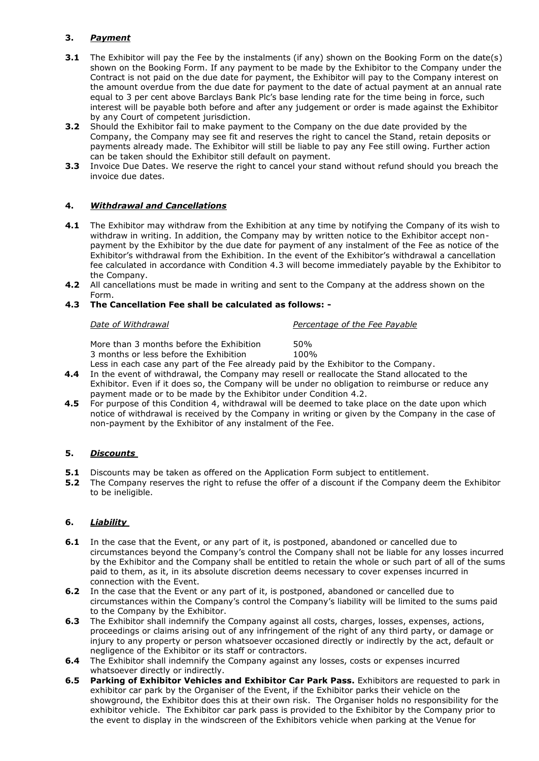# **3.** *Payment*

- **3.1** The Exhibitor will pay the Fee by the instalments (if any) shown on the Booking Form on the date(s) shown on the Booking Form. If any payment to be made by the Exhibitor to the Company under the Contract is not paid on the due date for payment, the Exhibitor will pay to the Company interest on the amount overdue from the due date for payment to the date of actual payment at an annual rate equal to 3 per cent above Barclays Bank Plc's base lending rate for the time being in force, such interest will be payable both before and after any judgement or order is made against the Exhibitor by any Court of competent jurisdiction.
- **3.2** Should the Exhibitor fail to make payment to the Company on the due date provided by the Company, the Company may see fit and reserves the right to cancel the Stand, retain deposits or payments already made. The Exhibitor will still be liable to pay any Fee still owing. Further action can be taken should the Exhibitor still default on payment.
- **3.3** Invoice Due Dates. We reserve the right to cancel your stand without refund should you breach the invoice due dates.

# **4.** *Withdrawal and Cancellations*

- **4.1** The Exhibitor may withdraw from the Exhibition at any time by notifying the Company of its wish to withdraw in writing. In addition, the Company may by written notice to the Exhibitor accept nonpayment by the Exhibitor by the due date for payment of any instalment of the Fee as notice of the Exhibitor's withdrawal from the Exhibition. In the event of the Exhibitor's withdrawal a cancellation fee calculated in accordance with Condition 4.3 will become immediately payable by the Exhibitor to the Company.
- **4.2** All cancellations must be made in writing and sent to the Company at the address shown on the Form.

# **4.3 The Cancellation Fee shall be calculated as follows: -**

*Date of Withdrawal Percentage of the Fee Payable*

More than 3 months before the Exhibition 50% 3 months or less before the Exhibition 100%

Less in each case any part of the Fee already paid by the Exhibitor to the Company.

- **4.4** In the event of withdrawal, the Company may resell or reallocate the Stand allocated to the Exhibitor. Even if it does so, the Company will be under no obligation to reimburse or reduce any payment made or to be made by the Exhibitor under Condition 4.2.
- **4.5** For purpose of this Condition 4, withdrawal will be deemed to take place on the date upon which notice of withdrawal is received by the Company in writing or given by the Company in the case of non-payment by the Exhibitor of any instalment of the Fee.

# **5.** *Discounts*

- **5.1** Discounts may be taken as offered on the Application Form subject to entitlement.
- **5.2** The Company reserves the right to refuse the offer of a discount if the Company deem the Exhibitor to be ineligible.

# **6.** *Liability*

- **6.1** In the case that the Event, or any part of it, is postponed, abandoned or cancelled due to circumstances beyond the Company's control the Company shall not be liable for any losses incurred by the Exhibitor and the Company shall be entitled to retain the whole or such part of all of the sums paid to them, as it, in its absolute discretion deems necessary to cover expenses incurred in connection with the Event.
- **6.2** In the case that the Event or any part of it, is postponed, abandoned or cancelled due to circumstances within the Company's control the Company's liability will be limited to the sums paid to the Company by the Exhibitor.
- **6.3** The Exhibitor shall indemnify the Company against all costs, charges, losses, expenses, actions, proceedings or claims arising out of any infringement of the right of any third party, or damage or injury to any property or person whatsoever occasioned directly or indirectly by the act, default or negligence of the Exhibitor or its staff or contractors.
- **6.4** The Exhibitor shall indemnify the Company against any losses, costs or expenses incurred whatsoever directly or indirectly.
- **6.5 Parking of Exhibitor Vehicles and Exhibitor Car Park Pass.** Exhibitors are requested to park in exhibitor car park by the Organiser of the Event, if the Exhibitor parks their vehicle on the showground, the Exhibitor does this at their own risk. The Organiser holds no responsibility for the exhibitor vehicle. The Exhibitor car park pass is provided to the Exhibitor by the Company prior to the event to display in the windscreen of the Exhibitors vehicle when parking at the Venue for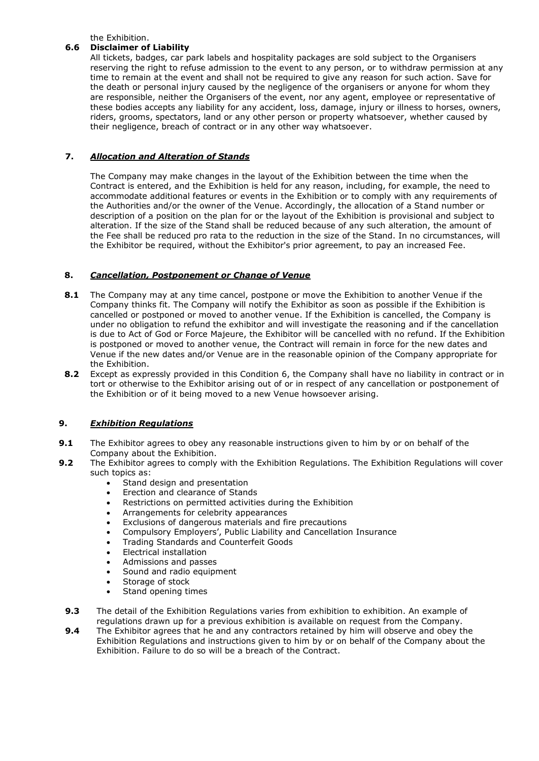the Exhibition.

# **6.6 Disclaimer of Liability**

All tickets, badges, car park labels and hospitality packages are sold subject to the Organisers reserving the right to refuse admission to the event to any person, or to withdraw permission at any time to remain at the event and shall not be required to give any reason for such action. Save for the death or personal injury caused by the negligence of the organisers or anyone for whom they are responsible, neither the Organisers of the event, nor any agent, employee or representative of these bodies accepts any liability for any accident, loss, damage, injury or illness to horses, owners, riders, grooms, spectators, land or any other person or property whatsoever, whether caused by their negligence, breach of contract or in any other way whatsoever.

# **7.** *Allocation and Alteration of Stands*

The Company may make changes in the layout of the Exhibition between the time when the Contract is entered, and the Exhibition is held for any reason, including, for example, the need to accommodate additional features or events in the Exhibition or to comply with any requirements of the Authorities and/or the owner of the Venue. Accordingly, the allocation of a Stand number or description of a position on the plan for or the layout of the Exhibition is provisional and subject to alteration. If the size of the Stand shall be reduced because of any such alteration, the amount of the Fee shall be reduced pro rata to the reduction in the size of the Stand. In no circumstances, will the Exhibitor be required, without the Exhibitor's prior agreement, to pay an increased Fee.

# **8.** *Cancellation, Postponement or Change of Venue*

- **8.1** The Company may at any time cancel, postpone or move the Exhibition to another Venue if the Company thinks fit. The Company will notify the Exhibitor as soon as possible if the Exhibition is cancelled or postponed or moved to another venue. If the Exhibition is cancelled, the Company is under no obligation to refund the exhibitor and will investigate the reasoning and if the cancellation is due to Act of God or Force Majeure, the Exhibitor will be cancelled with no refund. If the Exhibition is postponed or moved to another venue, the Contract will remain in force for the new dates and Venue if the new dates and/or Venue are in the reasonable opinion of the Company appropriate for the Exhibition.
- **8.2** Except as expressly provided in this Condition 6, the Company shall have no liability in contract or in tort or otherwise to the Exhibitor arising out of or in respect of any cancellation or postponement of the Exhibition or of it being moved to a new Venue howsoever arising.

# **9.** *Exhibition Regulations*

- **9.1** The Exhibitor agrees to obey any reasonable instructions given to him by or on behalf of the Company about the Exhibition.
- **9.2** The Exhibitor agrees to comply with the Exhibition Regulations. The Exhibition Regulations will cover such topics as:
	- Stand design and presentation
	- Erection and clearance of Stands
	- Restrictions on permitted activities during the Exhibition
	- Arrangements for celebrity appearances
	- Exclusions of dangerous materials and fire precautions
	- Compulsory Employers', Public Liability and Cancellation Insurance
	- Trading Standards and Counterfeit Goods
	- Electrical installation
	- Admissions and passes
	- Sound and radio equipment
	- Storage of stock
	- Stand opening times
	- **9.3** The detail of the Exhibition Regulations varies from exhibition to exhibition. An example of regulations drawn up for a previous exhibition is available on request from the Company.
	- **9.4** The Exhibitor agrees that he and any contractors retained by him will observe and obey the Exhibition Regulations and instructions given to him by or on behalf of the Company about the Exhibition. Failure to do so will be a breach of the Contract.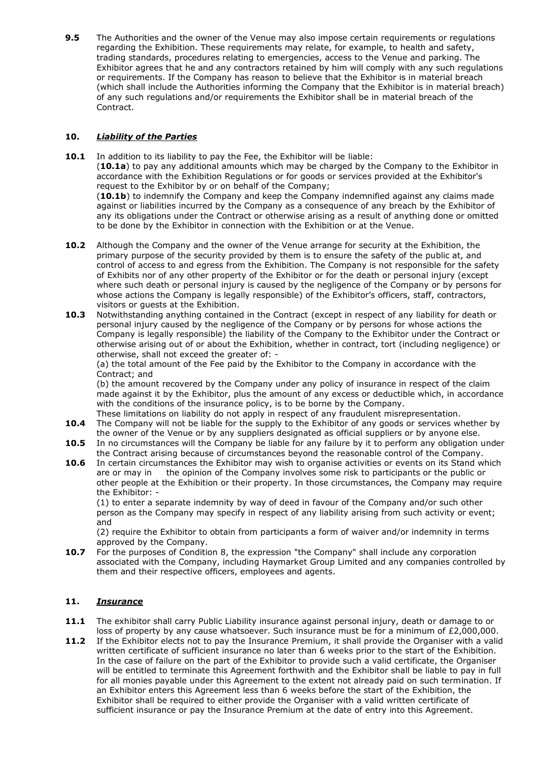**9.5** The Authorities and the owner of the Venue may also impose certain requirements or regulations regarding the Exhibition. These requirements may relate, for example, to health and safety, trading standards, procedures relating to emergencies, access to the Venue and parking. The Exhibitor agrees that he and any contractors retained by him will comply with any such regulations or requirements. If the Company has reason to believe that the Exhibitor is in material breach (which shall include the Authorities informing the Company that the Exhibitor is in material breach) of any such regulations and/or requirements the Exhibitor shall be in material breach of the Contract.

# **10.** *Liability of the Parties*

**10.1** In addition to its liability to pay the Fee, the Exhibitor will be liable:

(**10.1a**) to pay any additional amounts which may be charged by the Company to the Exhibitor in accordance with the Exhibition Regulations or for goods or services provided at the Exhibitor's request to the Exhibitor by or on behalf of the Company;

(**10.1b**) to indemnify the Company and keep the Company indemnified against any claims made against or liabilities incurred by the Company as a consequence of any breach by the Exhibitor of any its obligations under the Contract or otherwise arising as a result of anything done or omitted to be done by the Exhibitor in connection with the Exhibition or at the Venue.

- **10.2** Although the Company and the owner of the Venue arrange for security at the Exhibition, the primary purpose of the security provided by them is to ensure the safety of the public at, and control of access to and egress from the Exhibition. The Company is not responsible for the safety of Exhibits nor of any other property of the Exhibitor or for the death or personal injury (except where such death or personal injury is caused by the negligence of the Company or by persons for whose actions the Company is legally responsible) of the Exhibitor's officers, staff, contractors, visitors or guests at the Exhibition.
- **10.3** Notwithstanding anything contained in the Contract (except in respect of any liability for death or personal injury caused by the negligence of the Company or by persons for whose actions the Company is legally responsible) the liability of the Company to the Exhibitor under the Contract or otherwise arising out of or about the Exhibition, whether in contract, tort (including negligence) or otherwise, shall not exceed the greater of: -

(a) the total amount of the Fee paid by the Exhibitor to the Company in accordance with the Contract; and

(b) the amount recovered by the Company under any policy of insurance in respect of the claim made against it by the Exhibitor, plus the amount of any excess or deductible which, in accordance with the conditions of the insurance policy, is to be borne by the Company.

- These limitations on liability do not apply in respect of any fraudulent misrepresentation. **10.4** The Company will not be liable for the supply to the Exhibitor of any goods or services whether by the owner of the Venue or by any suppliers designated as official suppliers or by anyone else.
- **10.5** In no circumstances will the Company be liable for any failure by it to perform any obligation under the Contract arising because of circumstances beyond the reasonable control of the Company.
- **10.6** In certain circumstances the Exhibitor may wish to organise activities or events on its Stand which are or may in the opinion of the Company involves some risk to participants or the public or other people at the Exhibition or their property. In those circumstances, the Company may require the Exhibitor: -

(1) to enter a separate indemnity by way of deed in favour of the Company and/or such other person as the Company may specify in respect of any liability arising from such activity or event; and

(2) require the Exhibitor to obtain from participants a form of waiver and/or indemnity in terms approved by the Company.

**10.7** For the purposes of Condition 8, the expression "the Company" shall include any corporation associated with the Company, including Haymarket Group Limited and any companies controlled by them and their respective officers, employees and agents.

# **11.** *Insurance*

- **11.1** The exhibitor shall carry Public Liability insurance against personal injury, death or damage to or loss of property by any cause whatsoever. Such insurance must be for a minimum of £2,000,000.
- **11.2** If the Exhibitor elects not to pay the Insurance Premium, it shall provide the Organiser with a valid written certificate of sufficient insurance no later than 6 weeks prior to the start of the Exhibition. In the case of failure on the part of the Exhibitor to provide such a valid certificate, the Organiser will be entitled to terminate this Agreement forthwith and the Exhibitor shall be liable to pay in full for all monies payable under this Agreement to the extent not already paid on such termination. If an Exhibitor enters this Agreement less than 6 weeks before the start of the Exhibition, the Exhibitor shall be required to either provide the Organiser with a valid written certificate of sufficient insurance or pay the Insurance Premium at the date of entry into this Agreement.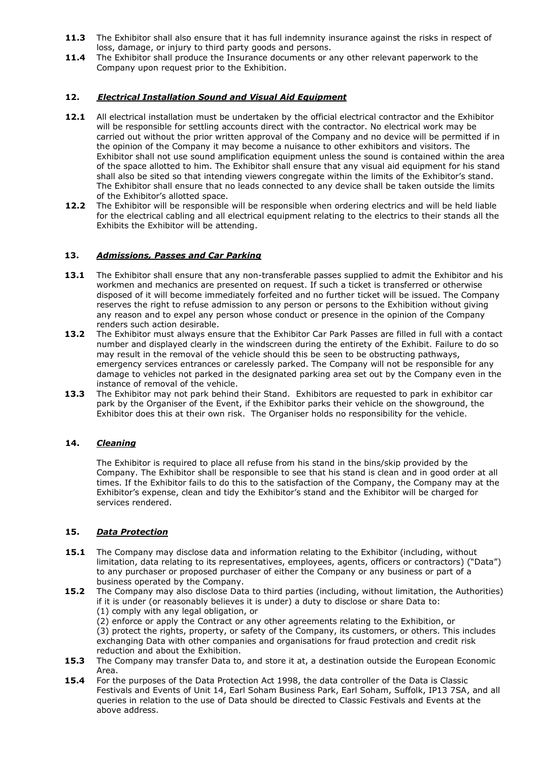- **11.3** The Exhibitor shall also ensure that it has full indemnity insurance against the risks in respect of loss, damage, or injury to third party goods and persons.
- **11.4** The Exhibitor shall produce the Insurance documents or any other relevant paperwork to the Company upon request prior to the Exhibition.

#### **12.** *Electrical Installation Sound and Visual Aid Equipment*

- **12.1** All electrical installation must be undertaken by the official electrical contractor and the Exhibitor will be responsible for settling accounts direct with the contractor. No electrical work may be carried out without the prior written approval of the Company and no device will be permitted if in the opinion of the Company it may become a nuisance to other exhibitors and visitors. The Exhibitor shall not use sound amplification equipment unless the sound is contained within the area of the space allotted to him. The Exhibitor shall ensure that any visual aid equipment for his stand shall also be sited so that intending viewers congregate within the limits of the Exhibitor's stand. The Exhibitor shall ensure that no leads connected to any device shall be taken outside the limits of the Exhibitor's allotted space.
- **12.2** The Exhibitor will be responsible will be responsible when ordering electrics and will be held liable for the electrical cabling and all electrical equipment relating to the electrics to their stands all the Exhibits the Exhibitor will be attending.

#### **13.** *Admissions, Passes and Car Parking*

- 13.1 The Exhibitor shall ensure that any non-transferable passes supplied to admit the Exhibitor and his workmen and mechanics are presented on request. If such a ticket is transferred or otherwise disposed of it will become immediately forfeited and no further ticket will be issued. The Company reserves the right to refuse admission to any person or persons to the Exhibition without giving any reason and to expel any person whose conduct or presence in the opinion of the Company renders such action desirable.
- **13.2** The Exhibitor must always ensure that the Exhibitor Car Park Passes are filled in full with a contact number and displayed clearly in the windscreen during the entirety of the Exhibit. Failure to do so may result in the removal of the vehicle should this be seen to be obstructing pathways, emergency services entrances or carelessly parked. The Company will not be responsible for any damage to vehicles not parked in the designated parking area set out by the Company even in the instance of removal of the vehicle.
- **13.3** The Exhibitor may not park behind their Stand. Exhibitors are requested to park in exhibitor car park by the Organiser of the Event, if the Exhibitor parks their vehicle on the showground, the Exhibitor does this at their own risk. The Organiser holds no responsibility for the vehicle.

# **14.** *Cleaning*

The Exhibitor is required to place all refuse from his stand in the bins/skip provided by the Company. The Exhibitor shall be responsible to see that his stand is clean and in good order at all times. If the Exhibitor fails to do this to the satisfaction of the Company, the Company may at the Exhibitor's expense, clean and tidy the Exhibitor's stand and the Exhibitor will be charged for services rendered.

#### **15.** *Data Protection*

- **15.1** The Company may disclose data and information relating to the Exhibitor (including, without limitation, data relating to its representatives, employees, agents, officers or contractors) ("Data") to any purchaser or proposed purchaser of either the Company or any business or part of a business operated by the Company.
- **15.2** The Company may also disclose Data to third parties (including, without limitation, the Authorities) if it is under (or reasonably believes it is under) a duty to disclose or share Data to: (1) comply with any legal obligation, or

(2) enforce or apply the Contract or any other agreements relating to the Exhibition, or

(3) protect the rights, property, or safety of the Company, its customers, or others. This includes exchanging Data with other companies and organisations for fraud protection and credit risk reduction and about the Exhibition.

- **15.3** The Company may transfer Data to, and store it at, a destination outside the European Economic Area.
- **15.4** For the purposes of the Data Protection Act 1998, the data controller of the Data is Classic Festivals and Events of Unit 14, Earl Soham Business Park, Earl Soham, Suffolk, IP13 7SA, and all queries in relation to the use of Data should be directed to Classic Festivals and Events at the above address.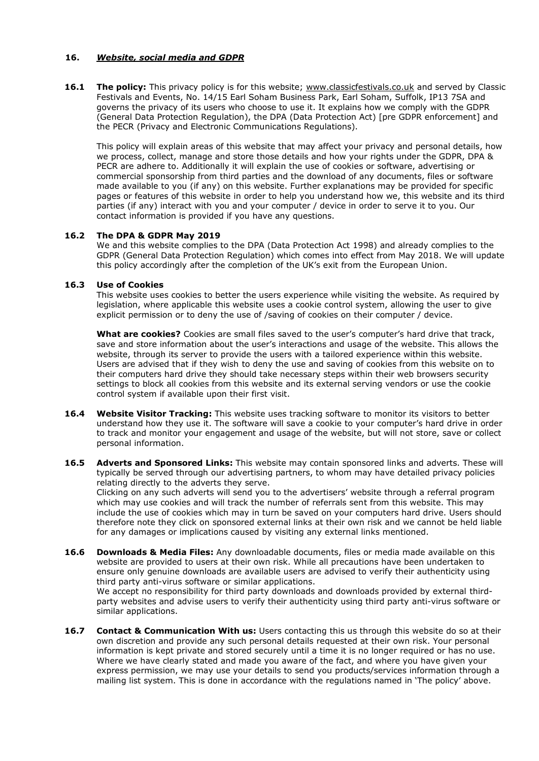#### **16.** *Website, social media and GDPR*

**16.1 The policy:** This privacy policy is for this website; [www.classicfestivals.co.uk](http://www.classicfestivals.co.uk/) and served by Classic Festivals and Events, No. 14/15 Earl Soham Business Park, Earl Soham, Suffolk, IP13 7SA and governs the privacy of its users who choose to use it. It explains how we comply with the GDPR (General Data Protection Regulation), the DPA (Data Protection Act) [pre GDPR enforcement] and the PECR (Privacy and Electronic Communications Regulations).

This policy will explain areas of this website that may affect your privacy and personal details, how we process, collect, manage and store those details and how your rights under the GDPR, DPA & PECR are adhere to. Additionally it will explain the use of cookies or software, advertising or commercial sponsorship from third parties and the download of any documents, files or software made available to you (if any) on this website. Further explanations may be provided for specific pages or features of this website in order to help you understand how we, this website and its third parties (if any) interact with you and your computer / device in order to serve it to you. Our contact information is provided if you have any questions.

#### **16.2 The DPA & GDPR May 2019**

We and this website complies to the DPA (Data Protection Act 1998) and already complies to the GDPR (General Data Protection Regulation) which comes into effect from May 2018. We will update this policy accordingly after the completion of the UK's exit from the European Union.

#### **16.3 Use of Cookies**

This website uses cookies to better the users experience while visiting the website. As required by legislation, where applicable this website uses a cookie control system, allowing the user to give explicit permission or to deny the use of /saving of cookies on their computer / device.

**What are cookies?** Cookies are small files saved to the user's computer's hard drive that track, save and store information about the user's interactions and usage of the website. This allows the website, through its server to provide the users with a tailored experience within this website. Users are advised that if they wish to deny the use and saving of cookies from this website on to their computers hard drive they should take necessary steps within their web browsers security settings to block all cookies from this website and its external serving vendors or use the cookie control system if available upon their first visit.

- **16.4 Website Visitor Tracking:** This website uses tracking software to monitor its visitors to better understand how they use it. The software will save a cookie to your computer's hard drive in order to track and monitor your engagement and usage of the website, but will not store, save or collect personal information.
- **16.5 Adverts and Sponsored Links:** This website may contain sponsored links and adverts. These will typically be served through our advertising partners, to whom may have detailed privacy policies relating directly to the adverts they serve.

Clicking on any such adverts will send you to the advertisers' website through a referral program which may use cookies and will track the number of referrals sent from this website. This may include the use of cookies which may in turn be saved on your computers hard drive. Users should therefore note they click on sponsored external links at their own risk and we cannot be held liable for any damages or implications caused by visiting any external links mentioned.

**16.6 Downloads & Media Files:** Any downloadable documents, files or media made available on this website are provided to users at their own risk. While all precautions have been undertaken to ensure only genuine downloads are available users are advised to verify their authenticity using third party anti-virus software or similar applications.

We accept no responsibility for third party downloads and downloads provided by external thirdparty websites and advise users to verify their authenticity using third party anti-virus software or similar applications.

**16.7 Contact & Communication With us:** Users contacting this us through this website do so at their own discretion and provide any such personal details requested at their own risk. Your personal information is kept private and stored securely until a time it is no longer required or has no use. Where we have clearly stated and made you aware of the fact, and where you have given your express permission, we may use your details to send you products/services information through a mailing list system. This is done in accordance with the regulations named in 'The policy' above.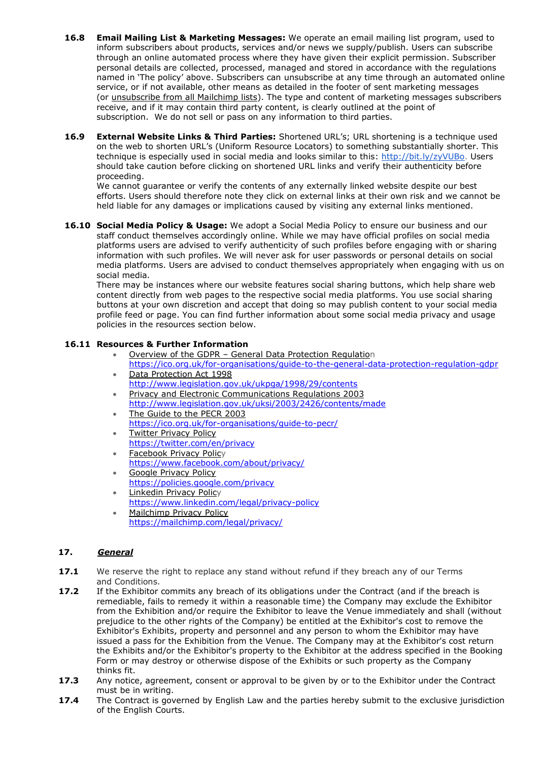- **16.8 Email Mailing List & Marketing Messages:** We operate an email mailing list program, used to inform subscribers about products, services and/or news we supply/publish. Users can subscribe through an online automated process where they have given their explicit permission. Subscriber personal details are collected, processed, managed and stored in accordance with the regulations named in 'The policy' above. Subscribers can unsubscribe at any time through an automated online service, or if not available, other means as detailed in the footer of sent marketing messages (or [unsubscribe](http://jamieking.co.uk/blog/email-marketing/unsubscribe-from-all-global-mailchimp-lists.html) from all Mailchimp lists). The type and content of marketing messages subscribers receive, and if it may contain third party content, is clearly outlined at the point of subscription. We do not sell or pass on any information to third parties.
- **16.9 External Website Links & Third Parties:** Shortened URL's; URL shortening is a technique used on the web to shorten URL's (Uniform Resource Locators) to something substantially shorter. This technique is especially used in social media and looks similar to this: [http://bit.ly/zyVUBo.](http://bit.ly/zyVUBo) Users should take caution before clicking on shortened URL links and verify their authenticity before proceeding.

We cannot guarantee or verify the contents of any externally linked website despite our best efforts. Users should therefore note they click on external links at their own risk and we cannot be held liable for any damages or implications caused by visiting any external links mentioned.

**16.10 Social Media Policy & Usage:** We adopt a Social Media Policy to ensure our business and our staff conduct themselves accordingly online. While we may have official profiles on social media platforms users are advised to verify authenticity of such profiles before engaging with or sharing information with such profiles. We will never ask for user passwords or personal details on social media platforms. Users are advised to conduct themselves appropriately when engaging with us on social media.

There may be instances where our website features social sharing buttons, which help share web content directly from web pages to the respective social media platforms. You use social sharing buttons at your own discretion and accept that doing so may publish content to your social media profile feed or page. You can find further information about some social media privacy and usage policies in the resources section below.

# **16.11 Resources & Further Information**

- Overview of the GDPR General Data [Protection](https://ico.org.uk/for-organisations/data-protection-reform/overview-of-the-gdpr/) Regulation
- <https://ico.org.uk/for-organisations/guide-to-the-general-data-protection-regulation-gdpr> • Data [Protection](http://www.legislation.gov.uk/ukpga/1998/29/contents) Act 1998
- <http://www.legislation.gov.uk/ukpga/1998/29/contents>
- Privacy and Electronic [Communications](http://www.legislation.gov.uk/uksi/2003/2426/contents/made) Regulations 2003 <http://www.legislation.gov.uk/uksi/2003/2426/contents/made> The [Guide](https://ico.org.uk/for-organisations/guide-to-pecr/) to the PECR 2003
- <https://ico.org.uk/for-organisations/guide-to-pecr/>
- Twitter [Privacy](http://twitter.com/privacy) Policy <https://twitter.com/en/privacy>
- **[Facebook](http://www.facebook.com/about/privacy/) Privacy Policy**
- <https://www.facebook.com/about/privacy/>
- **Google [Privacy](http://www.google.com/privacy.html) Policy** <https://policies.google.com/privacy>
- **[Linkedin](http://www.linkedin.com/static?key=privacy_policy) Privacy Policy** <https://www.linkedin.com/legal/privacy-policy> • [Mailchimp](http://mailchimp.com/legal/privacy/) Privacy Policy
- <https://mailchimp.com/legal/privacy/>

# **17.** *General*

- **17.1** We reserve the right to replace any stand without refund if they breach any of our Terms and Conditions.
- **17.2** If the Exhibitor commits any breach of its obligations under the Contract (and if the breach is remediable, fails to remedy it within a reasonable time) the Company may exclude the Exhibitor from the Exhibition and/or require the Exhibitor to leave the Venue immediately and shall (without prejudice to the other rights of the Company) be entitled at the Exhibitor's cost to remove the Exhibitor's Exhibits, property and personnel and any person to whom the Exhibitor may have issued a pass for the Exhibition from the Venue. The Company may at the Exhibitor's cost return the Exhibits and/or the Exhibitor's property to the Exhibitor at the address specified in the Booking Form or may destroy or otherwise dispose of the Exhibits or such property as the Company thinks fit.
- **17.3** Any notice, agreement, consent or approval to be given by or to the Exhibitor under the Contract must be in writing.
- **17.4** The Contract is governed by English Law and the parties hereby submit to the exclusive jurisdiction of the English Courts.